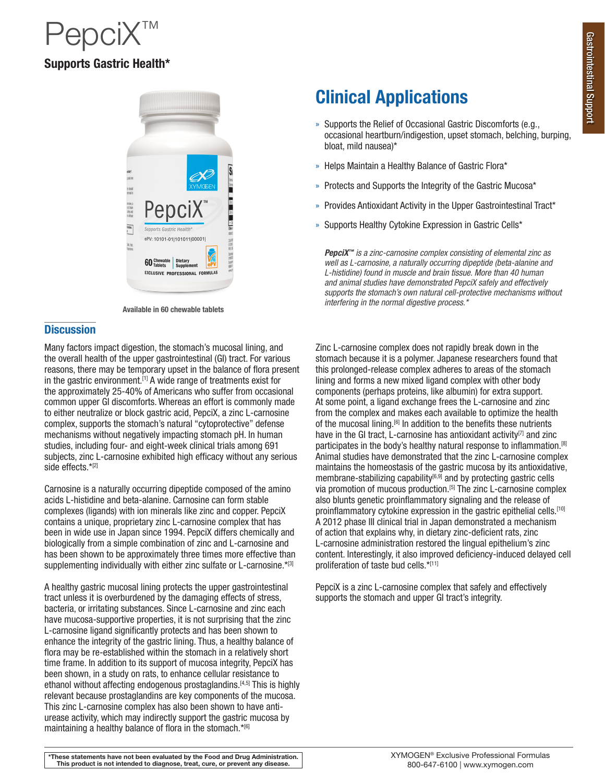



# Supports Gastric Health\*



### **Discussion**

Many factors impact digestion, the stomach's mucosal lining, and the overall health of the upper gastrointestinal (GI) tract. For various reasons, there may be temporary upset in the balance of flora present in the gastric environment.<sup>[1]</sup> A wide range of treatments exist for the approximately 25-40% of Americans who suffer from occasional common upper GI discomforts. Whereas an effort is commonly made to either neutralize or block gastric acid, PepciX, a zinc L-carnosine complex, supports the stomach's natural "cytoprotective" defense mechanisms without negatively impacting stomach pH. In human studies, including four- and eight-week clinical trials among 691 subjects, zinc L-carnosine exhibited high efficacy without any serious side effects.\*[2]

Carnosine is a naturally occurring dipeptide composed of the amino acids L-histidine and beta-alanine. Carnosine can form stable complexes (ligands) with ion minerals like zinc and copper. PepciX contains a unique, proprietary zinc L-carnosine complex that has been in wide use in Japan since 1994. PepciX differs chemically and biologically from a simple combination of zinc and L-carnosine and has been shown to be approximately three times more effective than supplementing individually with either zinc sulfate or L-carnosine.\*[3]

A healthy gastric mucosal lining protects the upper gastrointestinal tract unless it is overburdened by the damaging effects of stress, bacteria, or irritating substances. Since L-carnosine and zinc each have mucosa-supportive properties, it is not surprising that the zinc L-carnosine ligand significantly protects and has been shown to enhance the integrity of the gastric lining. Thus, a healthy balance of flora may be re-established within the stomach in a relatively short time frame. In addition to its support of mucosa integrity, PepciX has been shown, in a study on rats, to enhance cellular resistance to ethanol without affecting endogenous prostaglandins.<sup>[4,5]</sup> This is highly relevant because prostaglandins are key components of the mucosa. This zinc L-carnosine complex has also been shown to have antiurease activity, which may indirectly support the gastric mucosa by maintaining a healthy balance of flora in the stomach.\*[6]

# Clinical Applications

- » Supports the Relief of Occasional Gastric Discomforts (e.g., occasional heartburn/indigestion, upset stomach, belching, burping, bloat, mild nausea)\*
- » Helps Maintain a Healthy Balance of Gastric Flora\*
- » Protects and Supports the Integrity of the Gastric Mucosa\*
- » Provides Antioxidant Activity in the Upper Gastrointestinal Tract\*
- » Supports Healthy Cytokine Expression in Gastric Cells\*

*PepciX™ is a zinc-carnosine complex consisting of elemental zinc as well as L-carnosine, a naturally occurring dipeptide (beta-alanine and L-histidine) found in muscle and brain tissue. More than 40 human and animal studies have demonstrated PepciX safely and effectively supports the stomach's own natural cell-protective mechanisms without interfering in the normal digestive process.\** Available in 60 chewable tablets

> Zinc L-carnosine complex does not rapidly break down in the stomach because it is a polymer. Japanese researchers found that this prolonged-release complex adheres to areas of the stomach lining and forms a new mixed ligand complex with other body components (perhaps proteins, like albumin) for extra support. At some point, a ligand exchange frees the L-carnosine and zinc from the complex and makes each available to optimize the health of the mucosal lining.<sup>[6]</sup> In addition to the benefits these nutrients have in the GI tract, L-carnosine has antioxidant activity $[7]$  and zinc participates in the body's healthy natural response to inflammation.<sup>[8]</sup> Animal studies have demonstrated that the zinc L-carnosine complex maintains the homeostasis of the gastric mucosa by its antioxidative, membrane-stabilizing capability $[6,9]$  and by protecting gastric cells via promotion of mucous production.[5] The zinc L-carnosine complex also blunts genetic proinflammatory signaling and the release of proinflammatory cytokine expression in the gastric epithelial cells.<sup>[10]</sup> A 2012 phase III clinical trial in Japan demonstrated a mechanism of action that explains why, in dietary zinc-deficient rats, zinc L-carnosine administration restored the lingual epithelium's zinc content. Interestingly, it also improved deficiency-induced delayed cell proliferation of taste bud cells.\*[11]

PepciX is a zinc L-carnosine complex that safely and effectively supports the stomach and upper GI tract's integrity.